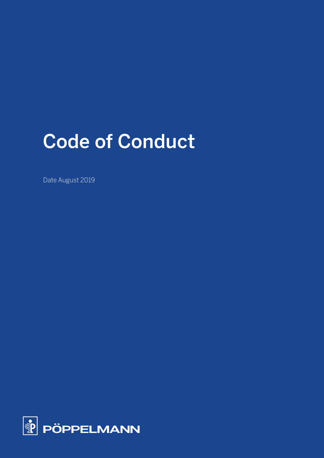# Code of Conduct

Date August 2019

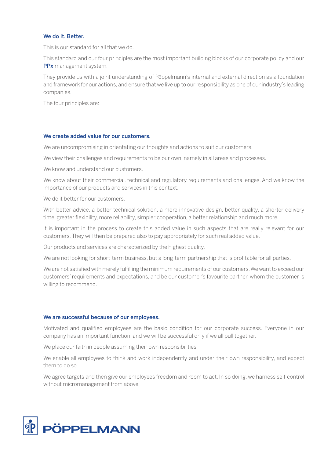## We do it. Better.

This is our standard for all that we do.

This standard and our four principles are the most important building blocks of our corporate policy and our PPx management system.

They provide us with a joint understanding of Pöppelmann's internal and external direction as a foundation and framework for our actions, and ensure that we live up to our responsibility as one of our industry's leading companies.

The four principles are:

#### We create added value for our customers.

We are uncompromising in orientating our thoughts and actions to suit our customers.

We view their challenges and requirements to be our own, namely in all areas and processes.

We know and understand our customers.

We know about their commercial, technical and regulatory requirements and challenges. And we know the importance of our products and services in this context.

We do it better for our customers.

With better advice, a better technical solution, a more innovative design, better quality, a shorter delivery time, greater flexibility, more reliability, simpler cooperation, a better relationship and much more.

It is important in the process to create this added value in such aspects that are really relevant for our customers. They will then be prepared also to pay appropriately for such real added value.

Our products and services are characterized by the highest quality.

We are not looking for short-term business, but a long-term partnership that is profitable for all parties.

We are not satisfied with merely fulfilling the minimum requirements of our customers. We want to exceed our customers' requirements and expectations, and be our customer's favourite partner, whom the customer is willing to recommend.

#### We are successful because of our employees.

Motivated and qualified employees are the basic condition for our corporate success. Everyone in our company has an important function, and we will be successful only if we all pull together.

We place our faith in people assuming their own responsibilities.

We enable all employees to think and work independently and under their own responsibility, and expect them to do so.

We agree targets and then give our employees freedom and room to act. In so doing, we harness self-control without micromanagement from above.

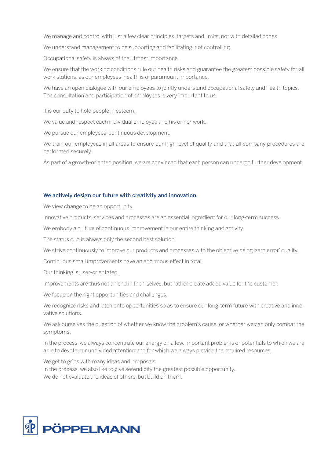We manage and control with just a few clear principles, targets and limits, not with detailed codes.

We understand management to be supporting and facilitating, not controlling.

Occupational safety is always of the utmost importance.

We ensure that the working conditions rule out health risks and guarantee the greatest possible safety for all work stations, as our employees' health is of paramount importance.

We have an open dialogue with our employees to jointly understand occupational safety and health topics. The consultation and participation of employees is very important to us.

It is our duty to hold people in esteem.

We value and respect each individual employee and his or her work.

We pursue our employees' continuous development.

We train our employees in all areas to ensure our high level of quality and that all company procedures are performed securely.

As part of a growth-oriented position, we are convinced that each person can undergo further development.

# We actively design our future with creativity and innovation.

We view change to be an opportunity.

Innovative products, services and processes are an essential ingredient for our long-term success.

We embody a culture of continuous improvement in our entire thinking and activity.

The status quo is always only the second best solution.

We strive continuously to improve our products and processes with the objective being 'zero error' quality.

Continuous small improvements have an enormous effect in total.

Our thinking is user-orientated.

Improvements are thus not an end in themselves, but rather create added value for the customer.

We focus on the right opportunities and challenges.

We recognize risks and latch onto opportunities so as to ensure our long-term future with creative and innovative solutions.

We ask ourselves the question of whether we know the problem's cause, or whether we can only combat the symptoms.

In the process, we always concentrate our energy on a few, important problems or potentials to which we are able to devote our undivided attention and for which we always provide the required resources.

We get to grips with many ideas and proposals. In the process, we also like to give serendipity the greatest possible opportunity. We do not evaluate the ideas of others, but build on them.

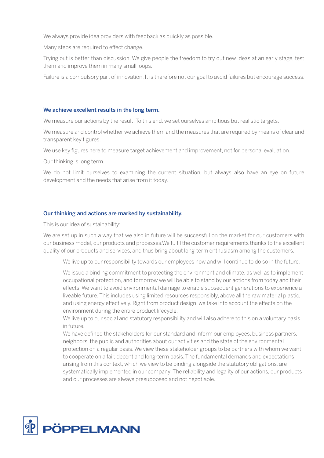We always provide idea providers with feedback as quickly as possible.

Many steps are required to effect change.

Trying out is better than discussion. We give people the freedom to try out new ideas at an early stage, test them and improve them in many small loops.

Failure is a compulsory part of innovation. It is therefore not our goal to avoid failures but encourage success.

### We achieve excellent results in the long term.

We measure our actions by the result. To this end, we set ourselves ambitious but realistic targets.

We measure and control whether we achieve them and the measures that are required by means of clear and transparent key figures.

We use key figures here to measure target achievement and improvement, not for personal evaluation.

Our thinking is long term.

We do not limit ourselves to examining the current situation, but always also have an eye on future development and the needs that arise from it today.

## Our thinking and actions are marked by sustainability.

This is our idea of sustainability:

We are set up in such a way that we also in future will be successful on the market for our customers with our business model, our products and processes.We fulfil the customer requirements thanks to the excellent quality of our products and services, and thus bring about long-term enthusiasm among the customers.

We live up to our responsibility towards our employees now and will continue to do so in the future.

 We issue a binding commitment to protecting the environment and climate, as well as to implement occupational protection, and tomorrow we will be able to stand by our actions from today and their effects. We want to avoid environmental damage to enable subsequent generations to experience a liveable future. This includes using limited resources responsibly, above all the raw material plastic, and using energy effectively. Right from product design, we take into account the effects on the environment during the entire product lifecycle.

We live up to our social and statutory responsibility and will also adhere to this on a voluntary basis in future.

We have defined the stakeholders for our standard and inform our employees, business partners, neighbors, the public and authorities about our activities and the state of the environmental protection on a regular basis. We view these stakeholder groups to be partners with whom we want to cooperate on a fair, decent and long-term basis. The fundamental demands and expectations arising from this context, which we view to be binding alongside the statutory obligations, are systematically implemented in our company. The reliability and legality of our actions, our products and our processes are always presupposed and not negotiable.

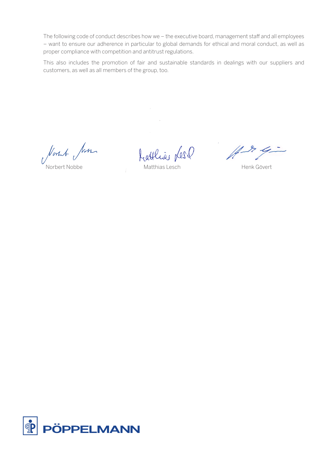The following code of conduct describes how we – the executive board, management staff and all employees – want to ensure our adherence in particular to global demands for ethical and moral conduct, as well as proper compliance with competition and antitrust regulations.

This also includes the promotion of fair and sustainable standards in dealings with our suppliers and customers, as well as all members of the group, too.

Norst Jon

frattlias Les

Norbert Nobbe Matthias Lesch Henk Gövert

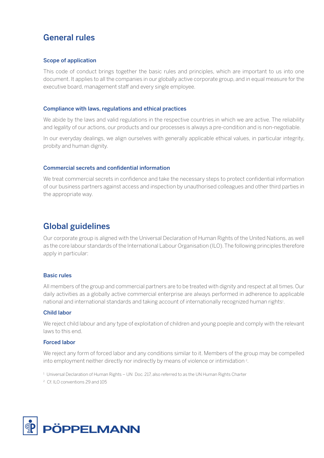# General rules

# Scope of application

This code of conduct brings together the basic rules and principles, which are important to us into one document. It applies to all the companies in our globally active corporate group, and in equal measure for the executive board, management staff and every single employee.

# Compliance with laws, regulations and ethical practices

We abide by the laws and valid regulations in the respective countries in which we are active. The reliability and legality of our actions, our products and our processes is always a pre-condition and is non-negotiable.

In our everyday dealings, we align ourselves with generally applicable ethical values, in particular integrity, probity and human dignity.

## Commercial secrets and confidential information

We treat commercial secrets in confidence and take the necessary steps to protect confidential information of our business partners against access and inspection by unauthorised colleagues and other third parties in the appropriate way.

# Global guidelines

Our corporate group is aligned with the Universal Declaration of Human Rights of the United Nations, as well as the core labour standards of the International Labour Organisation (ILO). The following principles therefore apply in particular:

## Basic rules

All members of the group and commercial partners are to be treated with dignity and respect at all times. Our daily activities as a globally active commercial enterprise are always performed in adherence to applicable national and international standards and taking account of internationally recognized human rights<sup>1</sup>.

## Child labor

We reject child labour and any type of exploitation of children and young poeple and comply with the relevant laws to this end.

# Forced labor

We reject any form of forced labor and any conditions similar to it. Members of the group may be compelled into employment neither directly nor indirectly by means of violence or intimidation 2.

 $1$  Universal Declaration of Human Rights – UN Doc. 217, also referred to as the UN Human Rights Charter

2 Cf. ILO conventions 29 and 105

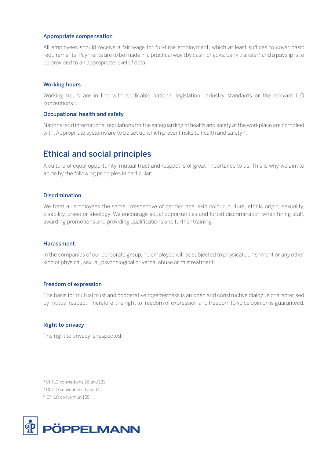#### Appropriate compensation

All employees should receive a fair wage for full-time employment, which at least suffices to cover basic requirements. Payments are to be made in a practical way (by cash, checks, bank transfer) and a payslip is to be provided to an appropriate level of detail<sup>3</sup>.

### Working hours

Working hours are in line with applicable national legislation, industry standards or the relevant ILO conventions 4.

#### Occupational health and safety

National and international regulations for the safeguarding of health and safety at the workplace are complied with. Appropriate systems are to be set up which prevent risks to health and safety  $\frac{1}{5}$ .

# Ethical and social principles

A culture of equal opportunity, mutual trust and respect is of great importance to us. This is why we aim to abide by the following principles in particular:

#### **Discrimination**

We treat all employees the same, irrespective of gender, age, skin colour, culture, ethnic origin, sexuality, disability, creed or ideology. We encourage equal opportunities and forbid discrimination when hiring staff, awarding promotions and providing qualifications and further training.

#### Harassment

In the companies of our corporate group, no employee will be subjected to physical punishment or any other kind of physical, sexual, psychological or verbal abuse or mistreatment.

## Freedom of expression

The basis for mutual trust and cooperative togetherness is an open and constructive dialogue characterised by mutual respect. Therefore, the right to freedom of expression and freedom to voice opinion is guaranteed.

## Right to privacy

The right to privacy is respected.

3 Cf. ILO conventions 26 and 131

4 Cf. ILO conventions 1 and 14

5 Cf. ILO convention 155